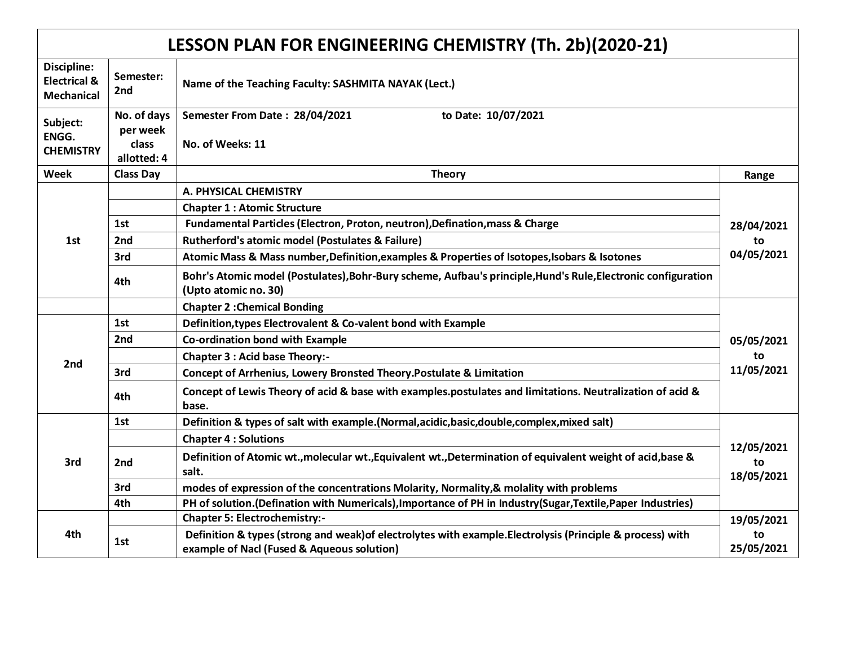## **LESSON PLAN FOR ENGINEERING CHEMISTRY (Th. 2b)(2020-21)**

| Discipline:<br><b>Electrical &amp;</b><br><b>Mechanical</b> | Semester:<br>2nd                                | Name of the Teaching Faculty: SASHMITA NAYAK (Lect.)                                                                                                     |                                |
|-------------------------------------------------------------|-------------------------------------------------|----------------------------------------------------------------------------------------------------------------------------------------------------------|--------------------------------|
| Subject:<br>ENGG.<br><b>CHEMISTRY</b>                       | No. of days<br>per week<br>class<br>allotted: 4 | Semester From Date: 28/04/2021<br>to Date: 10/07/2021<br>No. of Weeks: 11                                                                                |                                |
| Week                                                        | <b>Class Day</b>                                | <b>Theory</b>                                                                                                                                            | Range                          |
|                                                             |                                                 | A. PHYSICAL CHEMISTRY                                                                                                                                    | 28/04/2021<br>to<br>04/05/2021 |
|                                                             |                                                 | <b>Chapter 1: Atomic Structure</b>                                                                                                                       |                                |
|                                                             | 1st                                             | Fundamental Particles (Electron, Proton, neutron), Defination, mass & Charge                                                                             |                                |
| 1st                                                         | 2nd                                             | <b>Rutherford's atomic model (Postulates &amp; Failure)</b>                                                                                              |                                |
|                                                             | 3rd                                             | Atomic Mass & Mass number, Definition, examples & Properties of Isotopes, Isobars & Isotones                                                             |                                |
|                                                             | 4th                                             | Bohr's Atomic model (Postulates), Bohr-Bury scheme, Aufbau's principle, Hund's Rule, Electronic configuration<br>(Upto atomic no. 30)                    |                                |
|                                                             |                                                 | <b>Chapter 2: Chemical Bonding</b>                                                                                                                       | 05/05/2021<br>to<br>11/05/2021 |
|                                                             | 1st                                             | Definition, types Electrovalent & Co-valent bond with Example                                                                                            |                                |
|                                                             | 2nd                                             | Co-ordination bond with Example                                                                                                                          |                                |
| 2nd                                                         |                                                 | <b>Chapter 3 : Acid base Theory:-</b>                                                                                                                    |                                |
|                                                             | 3rd                                             | Concept of Arrhenius, Lowery Bronsted Theory. Postulate & Limitation                                                                                     |                                |
|                                                             | 4th                                             | Concept of Lewis Theory of acid & base with examples.postulates and limitations. Neutralization of acid &<br>base.                                       |                                |
|                                                             | 1st                                             | Definition & types of salt with example.(Normal, acidic, basic, double, complex, mixed salt)                                                             | 12/05/2021<br>to<br>18/05/2021 |
| 3rd                                                         |                                                 | <b>Chapter 4 : Solutions</b>                                                                                                                             |                                |
|                                                             | 2nd                                             | Definition of Atomic wt., molecular wt., Equivalent wt., Determination of equivalent weight of acid, base &<br>salt.                                     |                                |
|                                                             | 3rd                                             | modes of expression of the concentrations Molarity, Normality, & molality with problems                                                                  |                                |
|                                                             | 4th                                             | PH of solution. (Defination with Numericals), Importance of PH in Industry (Sugar, Textile, Paper Industries)                                            |                                |
| 4th                                                         |                                                 | <b>Chapter 5: Electrochemistry:-</b>                                                                                                                     | 19/05/2021<br>to<br>25/05/2021 |
|                                                             | 1st                                             | Definition & types (strong and weak) of electrolytes with example. Electrolysis (Principle & process) with<br>example of Nacl (Fused & Aqueous solution) |                                |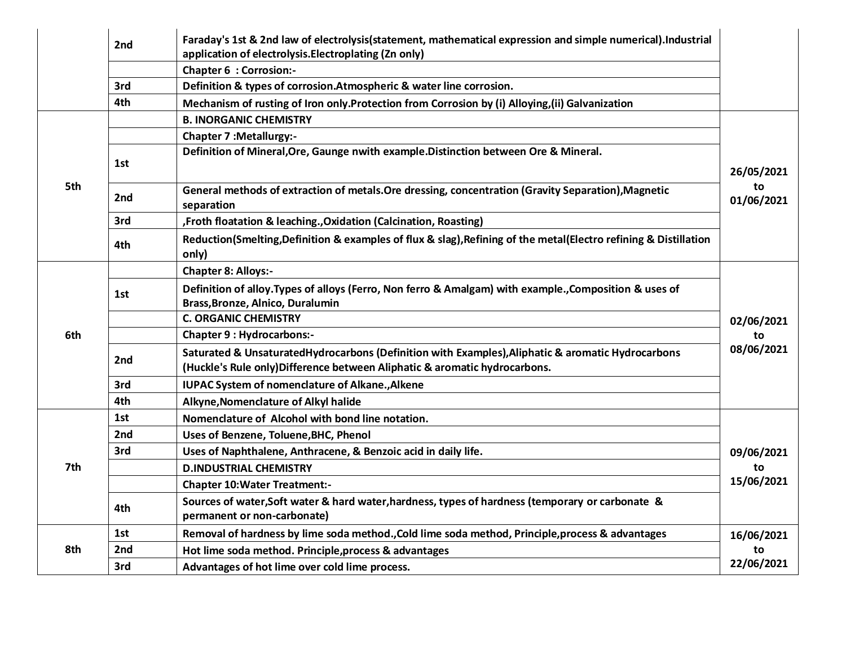|     | 2 <sub>nd</sub> | Faraday's 1st & 2nd law of electrolysis(statement, mathematical expression and simple numerical).Industrial<br>application of electrolysis. Electroplating (Zn only)            |                                |
|-----|-----------------|---------------------------------------------------------------------------------------------------------------------------------------------------------------------------------|--------------------------------|
|     |                 | <b>Chapter 6 : Corrosion:-</b>                                                                                                                                                  |                                |
|     | 3rd             | Definition & types of corrosion. Atmospheric & water line corrosion.                                                                                                            |                                |
|     | 4th             | Mechanism of rusting of Iron only.Protection from Corrosion by (i) Alloying, (ii) Galvanization                                                                                 |                                |
|     |                 | <b>B. INORGANIC CHEMISTRY</b>                                                                                                                                                   | 26/05/2021<br>to<br>01/06/2021 |
|     |                 | <b>Chapter 7 : Metallurgy:-</b>                                                                                                                                                 |                                |
| 5th | 1st             | Definition of Mineral, Ore, Gaunge nwith example. Distinction between Ore & Mineral.                                                                                            |                                |
|     | 2 <sub>nd</sub> | General methods of extraction of metals. Ore dressing, concentration (Gravity Separation), Magnetic<br>separation                                                               |                                |
|     | 3rd             | , Froth floatation & leaching., Oxidation (Calcination, Roasting)                                                                                                               |                                |
|     | 4th             | Reduction(Smelting,Definition & examples of flux & slag), Refining of the metal(Electro refining & Distillation<br>only)                                                        |                                |
|     |                 | <b>Chapter 8: Alloys:-</b>                                                                                                                                                      |                                |
|     | 1st             | Definition of alloy. Types of alloys (Ferro, Non ferro & Amalgam) with example., Composition & uses of<br>Brass, Bronze, Alnico, Duralumin                                      |                                |
|     |                 | <b>C. ORGANIC CHEMISTRY</b>                                                                                                                                                     | 02/06/2021                     |
| 6th |                 | <b>Chapter 9 : Hydrocarbons:-</b>                                                                                                                                               | to<br>08/06/2021               |
|     | 2 <sub>nd</sub> | Saturated & UnsaturatedHydrocarbons (Definition with Examples), Aliphatic & aromatic Hydrocarbons<br>(Huckle's Rule only) Difference between Aliphatic & aromatic hydrocarbons. |                                |
|     | 3rd             | <b>IUPAC System of nomenclature of Alkane., Alkene</b>                                                                                                                          |                                |
|     | 4th             | Alkyne, Nomenclature of Alkyl halide                                                                                                                                            |                                |
|     | 1st             | Nomenclature of Alcohol with bond line notation.                                                                                                                                | 09/06/2021<br>to<br>15/06/2021 |
|     | 2 <sub>nd</sub> | Uses of Benzene, Toluene, BHC, Phenol                                                                                                                                           |                                |
|     | 3rd             | Uses of Naphthalene, Anthracene, & Benzoic acid in daily life.                                                                                                                  |                                |
| 7th |                 | <b>D.INDUSTRIAL CHEMISTRY</b>                                                                                                                                                   |                                |
|     |                 | <b>Chapter 10: Water Treatment:-</b>                                                                                                                                            |                                |
|     | 4th             | Sources of water, Soft water & hard water, hardness, types of hardness (temporary or carbonate &<br>permanent or non-carbonate)                                                 |                                |
|     | 1st             | Removal of hardness by lime soda method., Cold lime soda method, Principle, process & advantages                                                                                | 16/06/2021<br>to<br>22/06/2021 |
| 8th | 2 <sub>nd</sub> | Hot lime soda method. Principle, process & advantages                                                                                                                           |                                |
|     | 3rd             | Advantages of hot lime over cold lime process.                                                                                                                                  |                                |